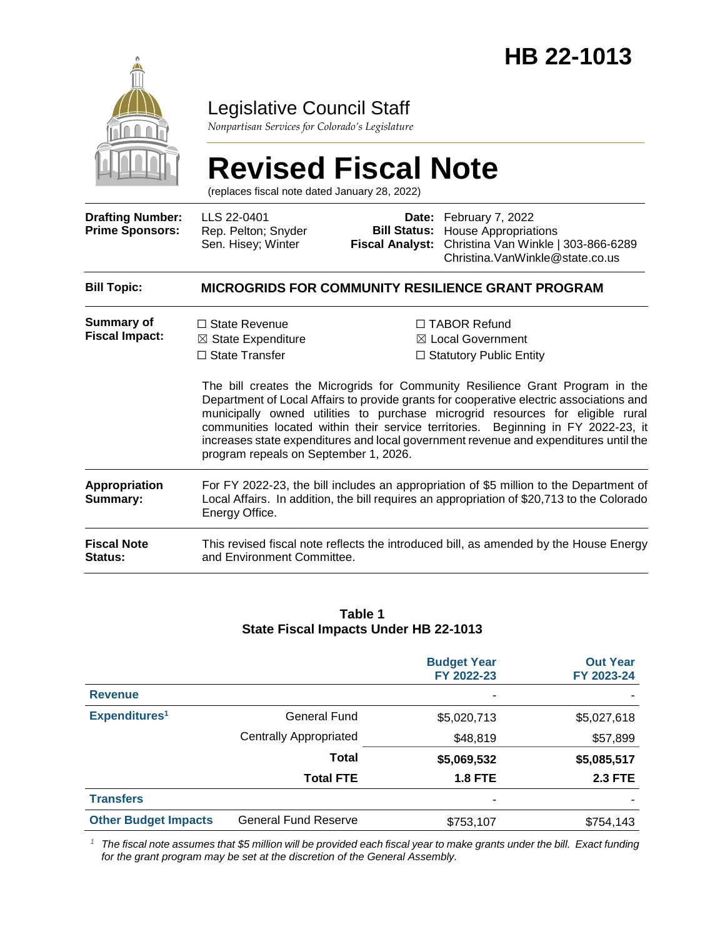

# Legislative Council Staff

*Nonpartisan Services for Colorado's Legislature*

# **Revised Fiscal Note**

(replaces fiscal note dated January 28, 2022)

| <b>Drafting Number:</b><br><b>Prime Sponsors:</b> | LLS 22-0401<br>Rep. Pelton; Snyder<br>Sen. Hisey; Winter                                                                                                                                                                                                                                                                                                                                                                                                                                                                                                                                                                                               |  | Date: February 7, 2022<br><b>Bill Status:</b> House Appropriations<br>Fiscal Analyst: Christina Van Winkle   303-866-6289<br>Christina. VanWinkle@state.co.us |
|---------------------------------------------------|--------------------------------------------------------------------------------------------------------------------------------------------------------------------------------------------------------------------------------------------------------------------------------------------------------------------------------------------------------------------------------------------------------------------------------------------------------------------------------------------------------------------------------------------------------------------------------------------------------------------------------------------------------|--|---------------------------------------------------------------------------------------------------------------------------------------------------------------|
| <b>Bill Topic:</b>                                | <b>MICROGRIDS FOR COMMUNITY RESILIENCE GRANT PROGRAM</b>                                                                                                                                                                                                                                                                                                                                                                                                                                                                                                                                                                                               |  |                                                                                                                                                               |
| Summary of<br><b>Fiscal Impact:</b>               | □ TABOR Refund<br>$\Box$ State Revenue<br>$\boxtimes$ Local Government<br>$\boxtimes$ State Expenditure<br>$\Box$ State Transfer<br>$\Box$ Statutory Public Entity<br>The bill creates the Microgrids for Community Resilience Grant Program in the<br>Department of Local Affairs to provide grants for cooperative electric associations and<br>municipally owned utilities to purchase microgrid resources for eligible rural<br>communities located within their service territories. Beginning in FY 2022-23, it<br>increases state expenditures and local government revenue and expenditures until the<br>program repeals on September 1, 2026. |  |                                                                                                                                                               |
| Appropriation<br>Summary:                         | For FY 2022-23, the bill includes an appropriation of \$5 million to the Department of<br>Local Affairs. In addition, the bill requires an appropriation of \$20,713 to the Colorado<br>Energy Office.                                                                                                                                                                                                                                                                                                                                                                                                                                                 |  |                                                                                                                                                               |
| <b>Fiscal Note</b><br>Status:                     | This revised fiscal note reflects the introduced bill, as amended by the House Energy<br>and Environment Committee.                                                                                                                                                                                                                                                                                                                                                                                                                                                                                                                                    |  |                                                                                                                                                               |

#### **Table 1 State Fiscal Impacts Under HB 22-1013**

|                             |                               | <b>Budget Year</b><br>FY 2022-23 | <b>Out Year</b><br>FY 2023-24 |
|-----------------------------|-------------------------------|----------------------------------|-------------------------------|
| <b>Revenue</b>              |                               |                                  |                               |
| Expenditures <sup>1</sup>   | <b>General Fund</b>           | \$5,020,713                      | \$5,027,618                   |
|                             | <b>Centrally Appropriated</b> | \$48,819                         | \$57,899                      |
|                             | Total                         | \$5,069,532                      | \$5,085,517                   |
|                             | <b>Total FTE</b>              | <b>1.8 FTE</b>                   | <b>2.3 FTE</b>                |
| <b>Transfers</b>            |                               |                                  |                               |
| <b>Other Budget Impacts</b> | <b>General Fund Reserve</b>   | \$753,107                        | \$754,143                     |

*<sup>1</sup> The fiscal note assumes that \$5 million will be provided each fiscal year to make grants under the bill. Exact funding for the grant program may be set at the discretion of the General Assembly.*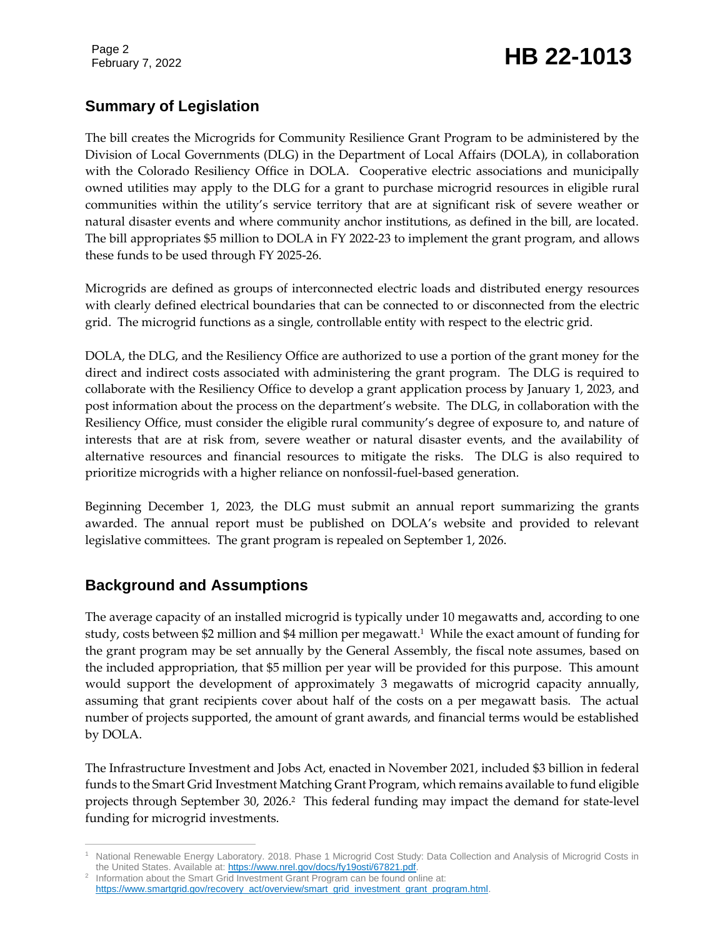Page 2

# February 7, 2022 **HB 22-1013**

# **Summary of Legislation**

The bill creates the Microgrids for Community Resilience Grant Program to be administered by the Division of Local Governments (DLG) in the Department of Local Affairs (DOLA), in collaboration with the Colorado Resiliency Office in DOLA. Cooperative electric associations and municipally owned utilities may apply to the DLG for a grant to purchase microgrid resources in eligible rural communities within the utility's service territory that are at significant risk of severe weather or natural disaster events and where community anchor institutions, as defined in the bill, are located. The bill appropriates \$5 million to DOLA in FY 2022-23 to implement the grant program, and allows these funds to be used through FY 2025-26.

Microgrids are defined as groups of interconnected electric loads and distributed energy resources with clearly defined electrical boundaries that can be connected to or disconnected from the electric grid. The microgrid functions as a single, controllable entity with respect to the electric grid.

DOLA, the DLG, and the Resiliency Office are authorized to use a portion of the grant money for the direct and indirect costs associated with administering the grant program. The DLG is required to collaborate with the Resiliency Office to develop a grant application process by January 1, 2023, and post information about the process on the department's website. The DLG, in collaboration with the Resiliency Office, must consider the eligible rural community's degree of exposure to, and nature of interests that are at risk from, severe weather or natural disaster events, and the availability of alternative resources and financial resources to mitigate the risks. The DLG is also required to prioritize microgrids with a higher reliance on nonfossil-fuel-based generation.

Beginning December 1, 2023, the DLG must submit an annual report summarizing the grants awarded. The annual report must be published on DOLA's website and provided to relevant legislative committees. The grant program is repealed on September 1, 2026.

# **Background and Assumptions**

The average capacity of an installed microgrid is typically under 10 megawatts and, according to one study, costs between \$2 million and \$4 million per megawatt. 1 While the exact amount of funding for the grant program may be set annually by the General Assembly, the fiscal note assumes, based on the included appropriation, that \$5 million per year will be provided for this purpose. This amount would support the development of approximately 3 megawatts of microgrid capacity annually, assuming that grant recipients cover about half of the costs on a per megawatt basis. The actual number of projects supported, the amount of grant awards, and financial terms would be established by DOLA.

The Infrastructure Investment and Jobs Act, enacted in November 2021, included \$3 billion in federal funds to the Smart Grid Investment Matching Grant Program, which remains available to fund eligible projects through September 30, 2026. 2 This federal funding may impact the demand for state-level funding for microgrid investments.

 $\overline{a}$ <sup>1</sup> National Renewable Energy Laboratory. 2018. Phase 1 Microgrid Cost Study: Data Collection and Analysis of Microgrid Costs in the United States. Available at[: https://www.nrel.gov/docs/fy19osti/67821.pdf.](https://www.nrel.gov/docs/fy19osti/67821.pdf)

<sup>&</sup>lt;sup>2</sup> Information about the Smart Grid Investment Grant Program can be found online at: [https://www.smartgrid.gov/recovery\\_act/overview/smart\\_grid\\_investment\\_grant\\_program.html.](https://www.smartgrid.gov/recovery_act/overview/smart_grid_investment_grant_program.html)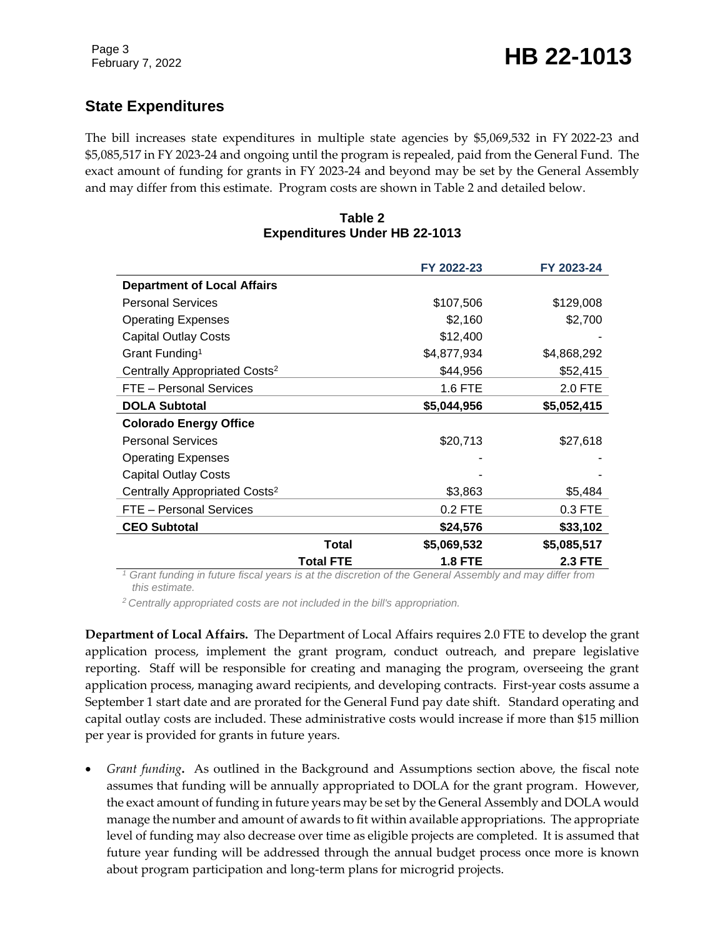# **State Expenditures**

The bill increases state expenditures in multiple state agencies by \$5,069,532 in FY 2022-23 and \$5,085,517 in FY 2023-24 and ongoing until the program is repealed, paid from the General Fund. The exact amount of funding for grants in FY 2023-24 and beyond may be set by the General Assembly and may differ from this estimate. Program costs are shown in Table 2 and detailed below.

#### **Table 2 Expenditures Under HB 22-1013**

|                                           |                  | FY 2022-23     | FY 2023-24     |
|-------------------------------------------|------------------|----------------|----------------|
| <b>Department of Local Affairs</b>        |                  |                |                |
| <b>Personal Services</b>                  |                  | \$107,506      | \$129,008      |
| <b>Operating Expenses</b>                 |                  | \$2,160        | \$2,700        |
| <b>Capital Outlay Costs</b>               |                  | \$12,400       |                |
| Grant Funding <sup>1</sup>                |                  | \$4,877,934    | \$4,868,292    |
| Centrally Appropriated Costs <sup>2</sup> |                  | \$44,956       | \$52,415       |
| FTE - Personal Services                   |                  | 1.6 FTE        | 2.0 FTE        |
| <b>DOLA Subtotal</b>                      |                  | \$5,044,956    | \$5,052,415    |
| <b>Colorado Energy Office</b>             |                  |                |                |
| <b>Personal Services</b>                  |                  | \$20,713       | \$27,618       |
| <b>Operating Expenses</b>                 |                  |                |                |
| <b>Capital Outlay Costs</b>               |                  |                |                |
| Centrally Appropriated Costs <sup>2</sup> |                  | \$3,863        | \$5,484        |
| FTE - Personal Services                   |                  | $0.2$ FTE      | 0.3 FTE        |
| <b>CEO Subtotal</b>                       |                  | \$24,576       | \$33,102       |
|                                           | <b>Total</b>     | \$5,069,532    | \$5,085,517    |
|                                           | <b>Total FTE</b> | <b>1.8 FTE</b> | <b>2.3 FTE</b> |

*<sup>1</sup> Grant funding in future fiscal years is at the discretion of the General Assembly and may differ from this estimate.*

*<sup>2</sup> Centrally appropriated costs are not included in the bill's appropriation.*

**Department of Local Affairs.** The Department of Local Affairs requires 2.0 FTE to develop the grant application process, implement the grant program, conduct outreach, and prepare legislative reporting. Staff will be responsible for creating and managing the program, overseeing the grant application process, managing award recipients, and developing contracts. First-year costs assume a September 1 start date and are prorated for the General Fund pay date shift. Standard operating and capital outlay costs are included. These administrative costs would increase if more than \$15 million per year is provided for grants in future years.

 *Grant funding***.** As outlined in the Background and Assumptions section above, the fiscal note assumes that funding will be annually appropriated to DOLA for the grant program. However, the exact amount of funding in future years may be set by the General Assembly and DOLA would manage the number and amount of awards to fit within available appropriations. The appropriate level of funding may also decrease over time as eligible projects are completed. It is assumed that future year funding will be addressed through the annual budget process once more is known about program participation and long-term plans for microgrid projects.